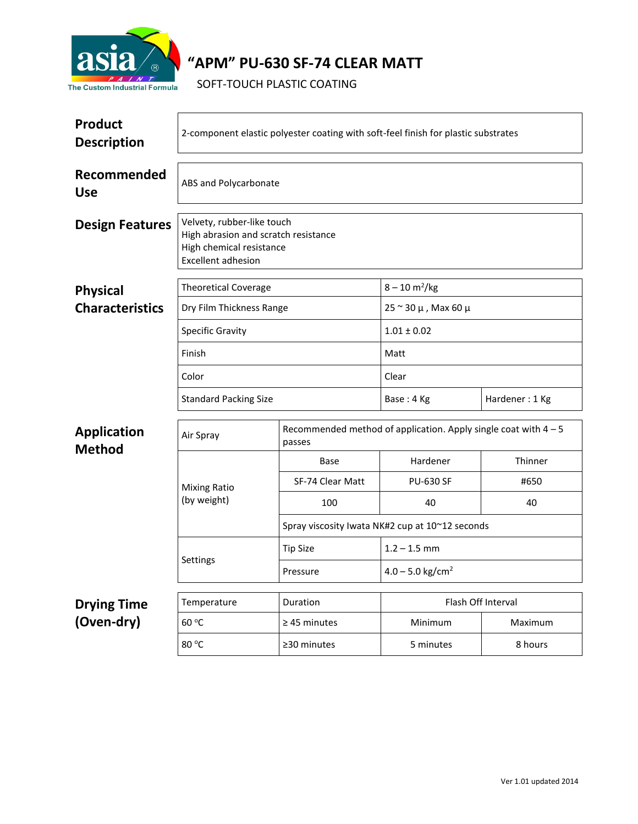

## **"APM" PU-630 SF-74 CLEAR MATT**

SOFT-TOUCH PLASTIC COATING

| <b>Product</b><br><b>Description</b> | 2-component elastic polyester coating with soft-feel finish for plastic substrates                                          |                                                 |                                                                   |                |  |  |
|--------------------------------------|-----------------------------------------------------------------------------------------------------------------------------|-------------------------------------------------|-------------------------------------------------------------------|----------------|--|--|
| Recommended<br><b>Use</b>            | ABS and Polycarbonate                                                                                                       |                                                 |                                                                   |                |  |  |
| <b>Design Features</b>               | Velvety, rubber-like touch<br>High abrasion and scratch resistance<br>High chemical resistance<br><b>Excellent adhesion</b> |                                                 |                                                                   |                |  |  |
| <b>Physical</b>                      | <b>Theoretical Coverage</b>                                                                                                 |                                                 | $8 - 10 \text{ m}^2/\text{kg}$                                    |                |  |  |
| <b>Characteristics</b>               | Dry Film Thickness Range                                                                                                    |                                                 | $25 \approx 30 \mu$ , Max 60 $\mu$                                |                |  |  |
|                                      | <b>Specific Gravity</b>                                                                                                     |                                                 | $1.01 \pm 0.02$                                                   |                |  |  |
|                                      | Finish                                                                                                                      |                                                 | Matt                                                              |                |  |  |
|                                      | Color                                                                                                                       |                                                 | Clear                                                             |                |  |  |
|                                      | <b>Standard Packing Size</b>                                                                                                |                                                 | Base: 4 Kg                                                        | Hardener: 1 Kg |  |  |
| <b>Application</b><br><b>Method</b>  | Air Spray<br>passes                                                                                                         |                                                 | Recommended method of application. Apply single coat with $4 - 5$ |                |  |  |
|                                      | <b>Mixing Ratio</b><br>(by weight)                                                                                          | Base                                            | Hardener                                                          | Thinner        |  |  |
|                                      |                                                                                                                             | SF-74 Clear Matt                                | <b>PU-630 SF</b>                                                  | #650           |  |  |
|                                      |                                                                                                                             | 100                                             | 40                                                                | 40             |  |  |
|                                      |                                                                                                                             | Spray viscosity Iwata NK#2 cup at 10~12 seconds |                                                                   |                |  |  |
|                                      | Settings                                                                                                                    | <b>Tip Size</b>                                 | $1.2 - 1.5$ mm                                                    |                |  |  |
|                                      |                                                                                                                             | Pressure                                        | $4.0 - 5.0$ kg/cm <sup>2</sup>                                    |                |  |  |
| <b>Drying Time</b>                   | Temperature                                                                                                                 | Duration                                        | Flash Off Interval                                                |                |  |  |
| (Oven-dry)                           | 60 °C                                                                                                                       | $\geq$ 45 minutes                               | Minimum                                                           | Maximum        |  |  |
|                                      | 80 °C                                                                                                                       | ≥30 minutes                                     | 5 minutes                                                         | 8 hours        |  |  |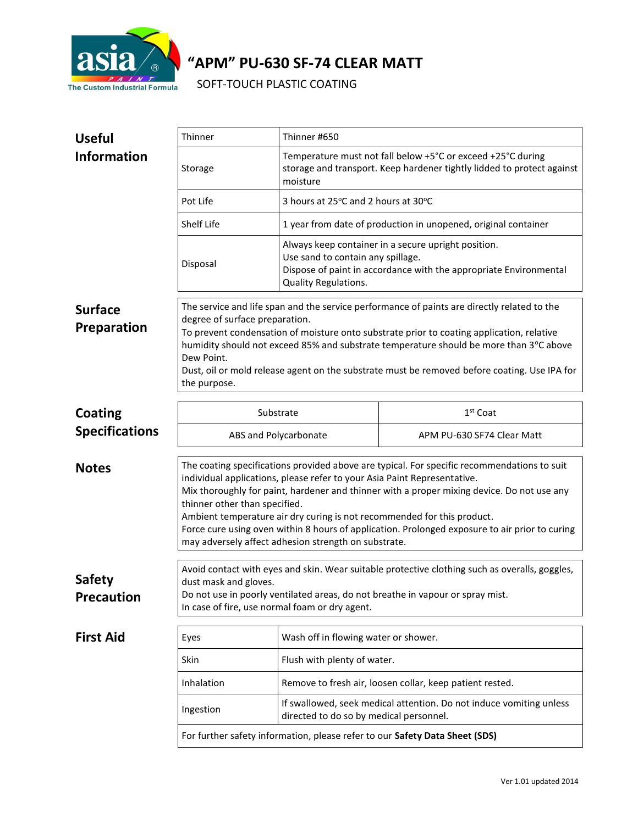

# **"APM" PU-630 SF-74 CLEAR MATT**

SOFT-TOUCH PLASTIC COATING

| <b>Useful</b>                      | Thinner                                                                                                                                                                                                                                                                                                                                                                                                                                                                                                                                     | Thinner #650                                                                                                                                                                          |                            |  |  |
|------------------------------------|---------------------------------------------------------------------------------------------------------------------------------------------------------------------------------------------------------------------------------------------------------------------------------------------------------------------------------------------------------------------------------------------------------------------------------------------------------------------------------------------------------------------------------------------|---------------------------------------------------------------------------------------------------------------------------------------------------------------------------------------|----------------------------|--|--|
| <b>Information</b>                 | Storage                                                                                                                                                                                                                                                                                                                                                                                                                                                                                                                                     | Temperature must not fall below +5°C or exceed +25°C during<br>storage and transport. Keep hardener tightly lidded to protect against<br>moisture                                     |                            |  |  |
|                                    | Pot Life                                                                                                                                                                                                                                                                                                                                                                                                                                                                                                                                    | 3 hours at 25°C and 2 hours at 30°C                                                                                                                                                   |                            |  |  |
|                                    | Shelf Life                                                                                                                                                                                                                                                                                                                                                                                                                                                                                                                                  | 1 year from date of production in unopened, original container                                                                                                                        |                            |  |  |
|                                    | Disposal                                                                                                                                                                                                                                                                                                                                                                                                                                                                                                                                    | Always keep container in a secure upright position.<br>Use sand to contain any spillage.<br>Dispose of paint in accordance with the appropriate Environmental<br>Quality Regulations. |                            |  |  |
| <b>Surface</b><br>Preparation      | The service and life span and the service performance of paints are directly related to the<br>degree of surface preparation.<br>To prevent condensation of moisture onto substrate prior to coating application, relative<br>humidity should not exceed 85% and substrate temperature should be more than 3°C above<br>Dew Point.<br>Dust, oil or mold release agent on the substrate must be removed before coating. Use IPA for<br>the purpose.                                                                                          |                                                                                                                                                                                       |                            |  |  |
| <b>Coating</b>                     | Substrate                                                                                                                                                                                                                                                                                                                                                                                                                                                                                                                                   |                                                                                                                                                                                       | $1st$ Coat                 |  |  |
| <b>Specifications</b>              | ABS and Polycarbonate                                                                                                                                                                                                                                                                                                                                                                                                                                                                                                                       |                                                                                                                                                                                       | APM PU-630 SF74 Clear Matt |  |  |
| <b>Notes</b>                       | The coating specifications provided above are typical. For specific recommendations to suit<br>individual applications, please refer to your Asia Paint Representative.<br>Mix thoroughly for paint, hardener and thinner with a proper mixing device. Do not use any<br>thinner other than specified.<br>Ambient temperature air dry curing is not recommended for this product.<br>Force cure using oven within 8 hours of application. Prolonged exposure to air prior to curing<br>may adversely affect adhesion strength on substrate. |                                                                                                                                                                                       |                            |  |  |
| <b>Safety</b><br><b>Precaution</b> | Avoid contact with eyes and skin. Wear suitable protective clothing such as overalls, goggles,<br>dust mask and gloves.<br>Do not use in poorly ventilated areas, do not breathe in vapour or spray mist.<br>In case of fire, use normal foam or dry agent.                                                                                                                                                                                                                                                                                 |                                                                                                                                                                                       |                            |  |  |
| <b>First Aid</b>                   | Eyes                                                                                                                                                                                                                                                                                                                                                                                                                                                                                                                                        | Wash off in flowing water or shower.                                                                                                                                                  |                            |  |  |
|                                    | Skin                                                                                                                                                                                                                                                                                                                                                                                                                                                                                                                                        | Flush with plenty of water.                                                                                                                                                           |                            |  |  |
|                                    | Inhalation                                                                                                                                                                                                                                                                                                                                                                                                                                                                                                                                  | Remove to fresh air, loosen collar, keep patient rested.                                                                                                                              |                            |  |  |
|                                    | If swallowed, seek medical attention. Do not induce vomiting unless<br>Ingestion<br>directed to do so by medical personnel.<br>For further safety information, please refer to our Safety Data Sheet (SDS)                                                                                                                                                                                                                                                                                                                                  |                                                                                                                                                                                       |                            |  |  |
|                                    |                                                                                                                                                                                                                                                                                                                                                                                                                                                                                                                                             |                                                                                                                                                                                       |                            |  |  |